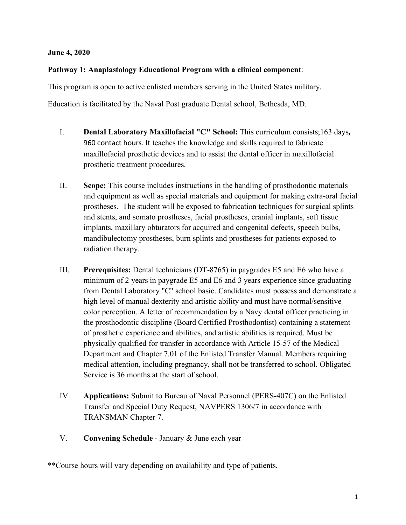#### **June 4, 2020**

### **Pathway 1: Anaplastology Educational Program with a clinical component**:

This program is open to active enlisted members serving in the United States military.

Education is facilitated by the Naval Post graduate Dental school, Bethesda, MD.

- I. **Dental Laboratory Maxillofacial "C" School:** This curriculum consists;163 days**,** 960 contact hours. It teaches the knowledge and skills required to fabricate maxillofacial prosthetic devices and to assist the dental officer in maxillofacial prosthetic treatment procedures.
- II. **Scope:** This course includes instructions in the handling of prosthodontic materials and equipment as well as special materials and equipment for making extra-oral facial prostheses. The student will be exposed to fabrication techniques for surgical splints and stents, and somato prostheses, facial prostheses, cranial implants, soft tissue implants, maxillary obturators for acquired and congenital defects, speech bulbs, mandibulectomy prostheses, burn splints and prostheses for patients exposed to radiation therapy.
- III. **Prerequisites:** Dental technicians (DT-8765) in paygrades E5 and E6 who have a minimum of 2 years in paygrade E5 and E6 and 3 years experience since graduating from Dental Laboratory "C" school basic. Candidates must possess and demonstrate a high level of manual dexterity and artistic ability and must have normal/sensitive color perception. A letter of recommendation by a Navy dental officer practicing in the prosthodontic discipline (Board Certified Prosthodontist) containing a statement of prosthetic experience and abilities, and artistic abilities is required. Must be physically qualified for transfer in accordance with Article 15-57 of the Medical Department and Chapter 7.01 of the Enlisted Transfer Manual. Members requiring medical attention, including pregnancy, shall not be transferred to school. Obligated Service is 36 months at the start of school.
- IV. **Applications:** Submit to Bureau of Naval Personnel (PERS-407C) on the Enlisted Transfer and Special Duty Request, NAVPERS 1306/7 in accordance with TRANSMAN Chapter 7.
- V. **Convening Schedule** January & June each year

\*\*Course hours will vary depending on availability and type of patients.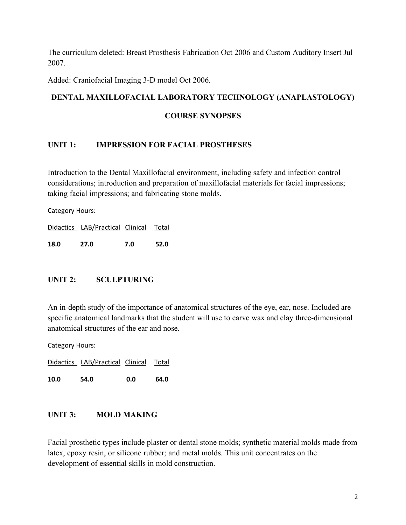The curriculum deleted: Breast Prosthesis Fabrication Oct 2006 and Custom Auditory Insert Jul 2007.

Added: Craniofacial Imaging 3-D model Oct 2006.

## **DENTAL MAXILLOFACIAL LABORATORY TECHNOLOGY (ANAPLASTOLOGY)**

#### **COURSE SYNOPSES**

## **UNIT 1: IMPRESSION FOR FACIAL PROSTHESES**

Introduction to the Dental Maxillofacial environment, including safety and infection control considerations; introduction and preparation of maxillofacial materials for facial impressions; taking facial impressions; and fabricating stone molds.

Category Hours:

Didactics LAB/Practical Clinical Total

**18.0 27.0 7.0 52.0**

## **UNIT 2: SCULPTURING**

An in-depth study of the importance of anatomical structures of the eye, ear, nose. Included are specific anatomical landmarks that the student will use to carve wax and clay three-dimensional anatomical structures of the ear and nose.

Category Hours:

Didactics LAB/Practical Clinical Total

**10.0 54.0 0.0 64.0**

## **UNIT 3: MOLD MAKING**

Facial prosthetic types include plaster or dental stone molds; synthetic material molds made from latex, epoxy resin, or silicone rubber; and metal molds. This unit concentrates on the development of essential skills in mold construction.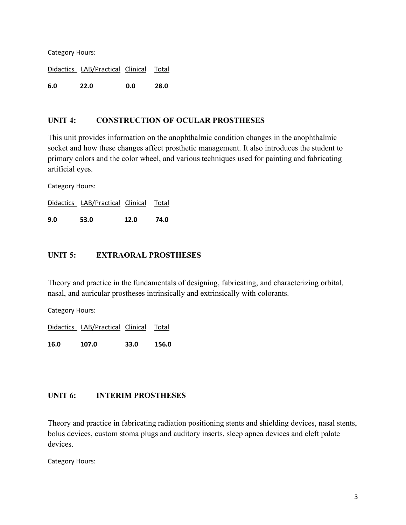Category Hours:

Didactics LAB/Practical Clinical Total

**6.0 22.0 0.0 28.0**

## **UNIT 4: CONSTRUCTION OF OCULAR PROSTHESES**

This unit provides information on the anophthalmic condition changes in the anophthalmic socket and how these changes affect prosthetic management. It also introduces the student to primary colors and the color wheel, and various techniques used for painting and fabricating artificial eyes.

Category Hours:

Didactics LAB/Practical Clinical Total

**9.0 53.0 12.0 74.0**

#### **UNIT 5: EXTRAORAL PROSTHESES**

Theory and practice in the fundamentals of designing, fabricating, and characterizing orbital, nasal, and auricular prostheses intrinsically and extrinsically with colorants.

Category Hours:

Didactics LAB/Practical Clinical Total

**16.0 107.0 33.0 156.0**

#### **UNIT 6: INTERIM PROSTHESES**

Theory and practice in fabricating radiation positioning stents and shielding devices, nasal stents, bolus devices, custom stoma plugs and auditory inserts, sleep apnea devices and cleft palate devices.

Category Hours: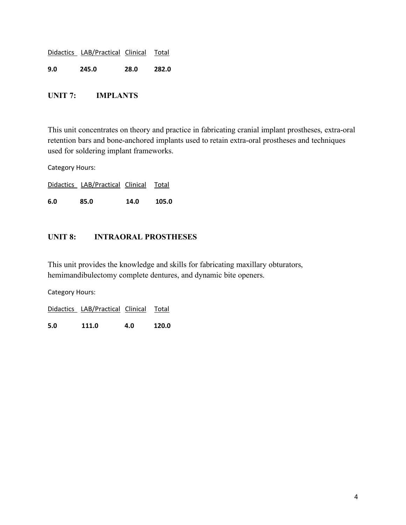|     | Didactics LAB/Practical Clinical Total |      |       |
|-----|----------------------------------------|------|-------|
| 9.0 | 245.0                                  | 28.0 | 282.0 |

## **UNIT 7: IMPLANTS**

This unit concentrates on theory and practice in fabricating cranial implant prostheses, extra-oral retention bars and bone-anchored implants used to retain extra-oral prostheses and techniques used for soldering implant frameworks.

Category Hours:

Didactics LAB/Practical Clinical Total

**6.0 85.0 14.0 105.0**

## **UNIT 8: INTRAORAL PROSTHESES**

This unit provides the knowledge and skills for fabricating maxillary obturators, hemimandibulectomy complete dentures, and dynamic bite openers.

Category Hours:

Didactics LAB/Practical Clinical Total

**5.0 111.0 4.0 120.0**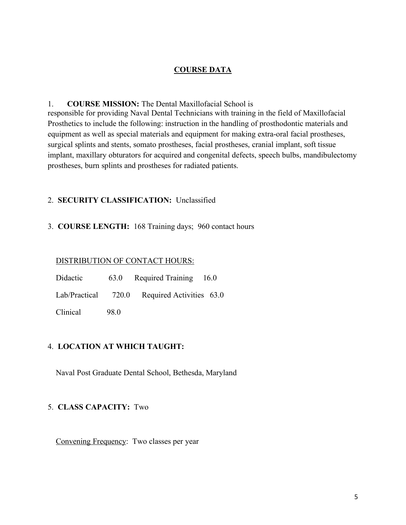## **COURSE DATA**

#### 1. **COURSE MISSION:** The Dental Maxillofacial School is

responsible for providing Naval Dental Technicians with training in the field of Maxillofacial Prosthetics to include the following: instruction in the handling of prosthodontic materials and equipment as well as special materials and equipment for making extra-oral facial prostheses, surgical splints and stents, somato prostheses, facial prostheses, cranial implant, soft tissue implant, maxillary obturators for acquired and congenital defects, speech bulbs, mandibulectomy prostheses, burn splints and prostheses for radiated patients.

#### 2. **SECURITY CLASSIFICATION:** Unclassified

## 3. **COURSE LENGTH:** 168 Training days; 960 contact hours

#### DISTRIBUTION OF CONTACT HOURS:

| Didactic            | 63.0 | Required Training 16.0   |  |
|---------------------|------|--------------------------|--|
| Lab/Practical 720.0 |      | Required Activities 63.0 |  |
| Clinical            | 98.0 |                          |  |

## 4. **LOCATION AT WHICH TAUGHT:**

Naval Post Graduate Dental School, Bethesda, Maryland

## 5. **CLASS CAPACITY:** Two

Convening Frequency: Two classes per year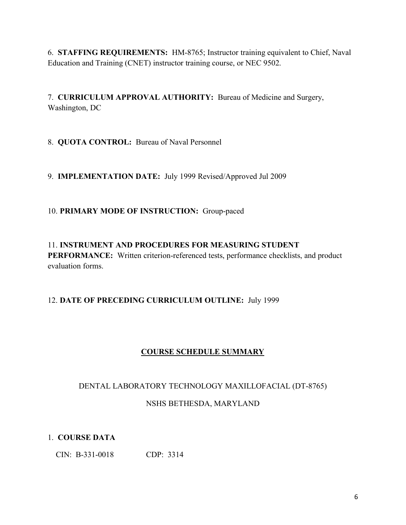6. **STAFFING REQUIREMENTS:** HM-8765; Instructor training equivalent to Chief, Naval Education and Training (CNET) instructor training course, or NEC 9502.

7. **CURRICULUM APPROVAL AUTHORITY:** Bureau of Medicine and Surgery, Washington, DC

8. **QUOTA CONTROL:** Bureau of Naval Personnel

9. **IMPLEMENTATION DATE:** July 1999 Revised/Approved Jul 2009

## 10. **PRIMARY MODE OF INSTRUCTION:** Group-paced

11. **INSTRUMENT AND PROCEDURES FOR MEASURING STUDENT PERFORMANCE:** Written criterion-referenced tests, performance checklists, and product evaluation forms.

# 12. **DATE OF PRECEDING CURRICULUM OUTLINE:** July 1999

# **COURSE SCHEDULE SUMMARY**

## DENTAL LABORATORY TECHNOLOGY MAXILLOFACIAL (DT-8765)

## NSHS BETHESDA, MARYLAND

# 1. **COURSE DATA**

CIN: B-331-0018 CDP: 3314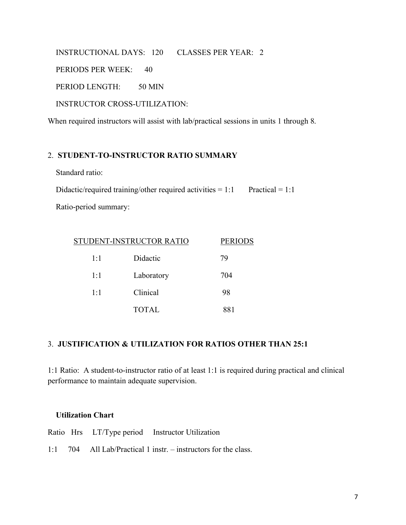INSTRUCTIONAL DAYS: 120 CLASSES PER YEAR: 2 PERIODS PER WEEK: 40 PERIOD LENGTH: 50 MIN INSTRUCTOR CROSS-UTILIZATION:

When required instructors will assist with lab/practical sessions in units 1 through 8.

### 2. **STUDENT-TO-INSTRUCTOR RATIO SUMMARY**

Standard ratio:

Didactic/required training/other required activities  $= 1:1$  Practical  $= 1:1$ 

Ratio-period summary:

|     | STUDENT-INSTRUCTOR RATIO | <b>PERIODS</b> |
|-----|--------------------------|----------------|
| 1:1 | Didactic                 | 79             |
| 1:1 | Laboratory               | 704            |
| 1:1 | Clinical                 | 98             |
|     | <b>TOTAL</b>             | 881            |

## 3. **JUSTIFICATION & UTILIZATION FOR RATIOS OTHER THAN 25:1**

1:1 Ratio: A student-to-instructor ratio of at least 1:1 is required during practical and clinical performance to maintain adequate supervision.

#### **Utilization Chart**

|  | Ratio Hrs LT/Type period Instructor Utilization |
|--|-------------------------------------------------|
|  |                                                 |

1:1 704 All Lab/Practical 1 instr. – instructors for the class.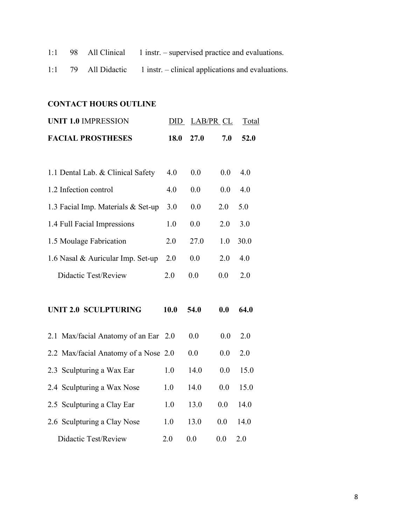- 1:1 98 All Clinical 1 instr. supervised practice and evaluations.
- 1:1 79 All Didactic 1 instr. clinical applications and evaluations.

# **CONTACT HOURS OUTLINE**

| <b>UNIT 1.0 IMPRESSION</b>           | DID  | LAB/PR CL |     | Total |  |
|--------------------------------------|------|-----------|-----|-------|--|
| <b>FACIAL PROSTHESES</b>             | 18.0 | 27.0      | 7.0 | 52.0  |  |
|                                      |      |           |     |       |  |
| 1.1 Dental Lab. & Clinical Safety    | 4.0  | 0.0       | 0.0 | 4.0   |  |
| 1.2 Infection control                | 4.0  | 0.0       | 0.0 | 4.0   |  |
| 1.3 Facial Imp. Materials & Set-up   | 3.0  | 0.0       | 2.0 | 5.0   |  |
| 1.4 Full Facial Impressions          | 1.0  | 0.0       | 2.0 | 3.0   |  |
| 1.5 Moulage Fabrication              | 2.0  | 27.0      | 1.0 | 30.0  |  |
| 1.6 Nasal & Auricular Imp. Set-up    | 2.0  | 0.0       | 2.0 | 4.0   |  |
| <b>Didactic Test/Review</b>          | 2.0  | 0.0       | 0.0 | 2.0   |  |
|                                      |      |           |     |       |  |
| <b>UNIT 2.0 SCULPTURING</b>          | 10.0 | 54.0      | 0.0 | 64.0  |  |
| 2.1 Max/facial Anatomy of an Ear 2.0 |      | 0.0       | 0.0 | 2.0   |  |
| 2.2 Max/facial Anatomy of a Nose 2.0 |      | 0.0       | 0.0 | 2.0   |  |
| 2.3 Sculpturing a Wax Ear            | 1.0  | 14.0      | 0.0 | 15.0  |  |
| 2.4 Sculpturing a Wax Nose           | 1.0  | 14.0      | 0.0 | 15.0  |  |
| 2.5 Sculpturing a Clay Ear           | 1.0  | 13.0      | 0.0 | 14.0  |  |
| 2.6 Sculpturing a Clay Nose          | 1.0  | 13.0      | 0.0 | 14.0  |  |
| Didactic Test/Review                 | 2.0  | 0.0       | 0.0 | 2.0   |  |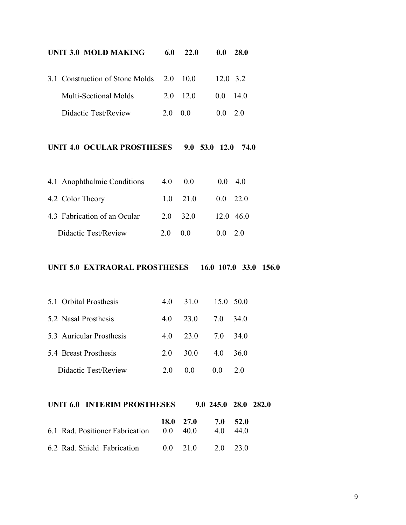| <b>UNIT 3.0 MOLD MAKING</b>     | 6.0                | 22.0         | 0.0             | 28.0                       |
|---------------------------------|--------------------|--------------|-----------------|----------------------------|
| 3.1 Construction of Stone Molds | 2.0                | 10.0         | $12.0$ 3.2      |                            |
| <b>Multi-Sectional Molds</b>    | 2.0                | 12.0         | $0.0\,$         | 14.0                       |
| Didactic Test/Review            | 2.0                | 0.0          | 0.0             | 2.0                        |
| UNIT 4.0 OCULAR PROSTHESES      |                    |              | $9.0$ 53.0 12.0 | 74.0                       |
| 4.1 Anophthalmic Conditions     | 4.0                | $0.0\,$      | 0.0             | 4.0                        |
| 4.2 Color Theory                | 1.0                | 21.0         | 0.0             | 22.0                       |
| 4.3 Fabrication of an Ocular    | 2.0                | 32.0         |                 | 12.0 46.0                  |
| Didactic Test/Review            | 2.0                | 0.0          | 0.0             | 2.0                        |
|                                 |                    |              |                 |                            |
| UNIT 5.0 EXTRAORAL PROSTHESES   |                    |              |                 | $16.0$ 107.0 33.0<br>156.0 |
| 5.1 Orbital Prosthesis          | 4.0                | 31.0         | 15.0            | 50.0                       |
| 5.2 Nasal Prosthesis            | 4.0                | 23.0         | 7.0             | 34.0                       |
| 5.3 Auricular Prosthesis        | 4.0                | 23.0         | 7.0             | 34.0                       |
| 5.4 Breast Prosthesis           | 2.0                | 30.0         | 4.0             | 36.0                       |
| Didactic Test/Review            | 2.0                | 0.0          | 0.0             | 2.0                        |
| UNIT 6.0 INTERIM PROSTHESES     |                    |              |                 | 9.0 245.0 28.0 282.0       |
| 6.1 Rad. Positioner Fabrication | <b>18.0</b><br>0.0 | 27.0<br>40.0 | 7.0<br>4.0      | 52.0<br>44.0               |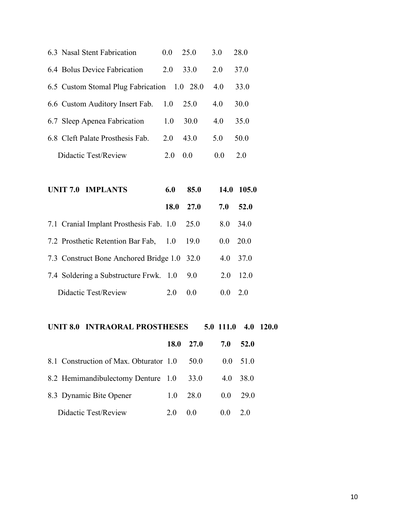| 6.3 Nasal Stent Fabrication                 | 0.0  | 25.0 | 3.0       | 28.0         |  |
|---------------------------------------------|------|------|-----------|--------------|--|
| 6.4 Bolus Device Fabrication                | 2.0  | 33.0 | 2.0       | 37.0         |  |
| 6.5 Custom Stomal Plug Fabrication 1.0 28.0 |      |      | 4.0       | 33.0         |  |
| 6.6 Custom Auditory Insert Fab.             | 1.0  | 25.0 | 4.0       | 30.0         |  |
| 6.7 Sleep Apenea Fabrication                | 1.0  | 30.0 | 4.0       | 35.0         |  |
| 6.8 Cleft Palate Prosthesis Fab.            | 2.0  | 43.0 | 5.0       | 50.0         |  |
| <b>Didactic Test/Review</b>                 | 2.0  | 0.0  | 0.0       | 2.0          |  |
|                                             |      |      |           |              |  |
| <b>UNIT 7.0 IMPLANTS</b>                    | 6.0  | 85.0 | 14.0      | 105.0        |  |
|                                             | 18.0 | 27.0 | 7.0       | 52.0         |  |
| 7.1 Cranial Implant Prosthesis Fab. 1.0     |      | 25.0 | 8.0       | 34.0         |  |
| 7.2 Prosthetic Retention Bar Fab,           | 1.0  | 19.0 | 0.0       | 20.0         |  |
| 7.3 Construct Bone Anchored Bridge 1.0      |      | 32.0 | 4.0       | 37.0         |  |
| 7.4 Soldering a Substructure Frwk. 1.0      |      | 9.0  | 2.0       | 12.0         |  |
| <b>Didactic Test/Review</b>                 | 2.0  | 0.0  | 0.0       | 2.0          |  |
|                                             |      |      |           |              |  |
| <b>UNIT 8.0 INTRAORAL PROSTHESES</b>        |      |      | 5.0 111.0 | 4.0<br>120.0 |  |

|                                        |     | 18.0 27.0      | 7.0           | 52.0            |  |
|----------------------------------------|-----|----------------|---------------|-----------------|--|
| 8.1 Construction of Max. Obturator 1.0 |     | 50 O           | $0.0^{\circ}$ | 51.0            |  |
| 8.2 Hemimandibulectomy Denture 1.0     |     | <b>33.0</b>    | 4.0           | 38.0            |  |
| 8.3 Dynamic Bite Opener                | 1.0 | 28.0           | $0.0^-$       | 29 <sub>0</sub> |  |
| Didactic Test/Review                   | 20  | 0 <sub>0</sub> | ()()          | 20              |  |